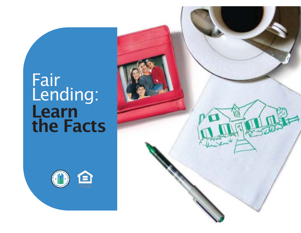## Fair Lending: **Learn the Facts**



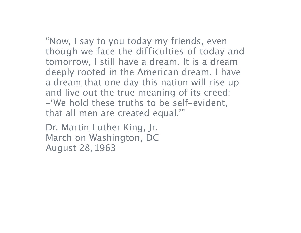"Now, I say to you today my friends, even though we face the difficulties of today and tomorrow, I still have a dream. It is a dream deeply rooted in the American dream. I have a dream that one day this nation will rise up and live out the true meaning of its creed: -<sup>ʻ</sup>We hold these truths to be self-evident, that all men are created equal.<sup>&#</sup>x27;"

Dr. Martin Luther King, Jr. March on Washington, DC August 28, 1963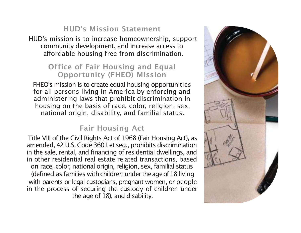## **HUD's Mission Statement**

HUD<sup>&#</sup>x27;s mission is to increase homeownership, support community development, and increase access to <sup>a</sup>ffordable housing free from discrimination.

## **Office of Fair Housing and Equal Opportunity (FHEO) Mission**

FHEO<sup>&#</sup>x27;s mission is to create equal housing opportunities for all persons living in America by enforcing and administering laws that prohibit discrimination in housing on the basis of race, color, religion, sex, national origin, disability, and familial status.

## **Fair Housing Act**

Title VIII of the Civil Rights Act of 1968 (Fair Housing Act), as amended, 42 U.S. Code 3601 et seq., prohibits discrimination in the sale, rental, and financing of residential dwellings, and in other residential real estate related transactions, based on race, color, national origin, religion, sex, familial status (defined as families with children under the age of 18 living with parents or legal custodians, pregnant women, or people in the process of securing the custody of children under the age of 18), and disability.